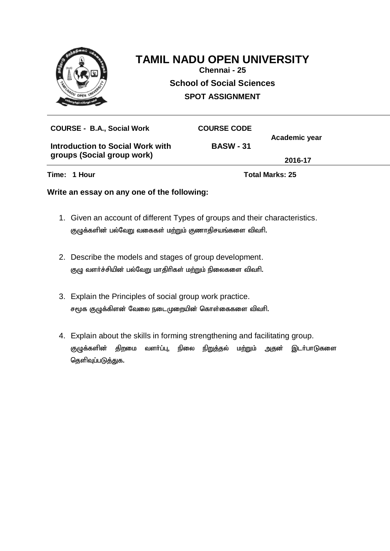

# **TAMIL NADU OPEN UNIVERSITY**

**Chennai - 25 School of Social Sciences SPOT ASSIGNMENT**

| Time: 1 Hour                      |                    | <b>Total Marks: 25</b> |  |
|-----------------------------------|--------------------|------------------------|--|
| groups (Social group work)        | 2016-17            |                        |  |
| Introduction to Social Work with  | <b>BASW - 31</b>   |                        |  |
| <b>COURSE - B.A., Social Work</b> | <b>COURSE CODE</b> | Academic year          |  |
|                                   |                    |                        |  |

- 1. Given an account of different Types of groups and their characteristics. குழுக்களின் பல்வேறு வகைகள் மற்றும் குணாதிசயங்களை விவரி.
- 2. Describe the models and stages of group development. குழு வளர்ச்சியின் பல்வேறு மாதிரிகள் மற்றும் நிலைகளை விவரி.
- 3. Explain the Principles of social group work practice. சமூக குழுக்கிளன் வேலை நடைமுறையின் கொள்கைகளை விவரி.
- 4. Explain about the skills in forming strengthening and facilitating group. குழுக்களின் திறமை வளர்ப்பு, நிலை நி<u>றுத்</u>தல் மற்றும் அதன் இடர்பாடுகளை தெளிவுப்படுத்துக.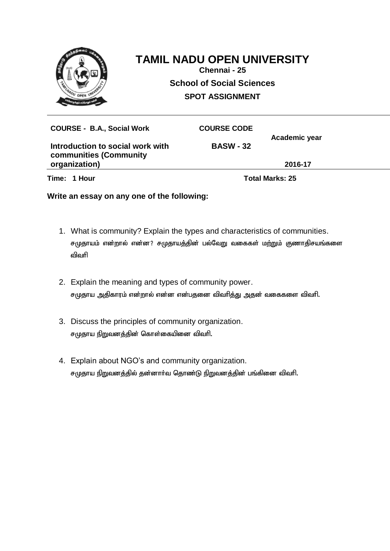

## **TAMIL NADU OPEN UNIVERSITY**

**Chennai - 25 School of Social Sciences SPOT ASSIGNMENT**

| <b>COURSE - B.A., Social Work</b>                                 | <b>COURSE CODE</b>     |               |
|-------------------------------------------------------------------|------------------------|---------------|
| Introduction to social work with<br><b>communities (Community</b> | <b>BASW - 32</b>       | Academic year |
| organization)                                                     |                        | 2016-17       |
| Time: 1 Hour                                                      | <b>Total Marks: 25</b> |               |

- 1. What is community? Explain the types and characteristics of communities. சமுதாயம் என்றால் என்ன? சமுதாயத்தின் பல்வேறு வகைகள் மற்றும் குணாதிசயங்களை விவரி
- 2. Explain the meaning and types of community power. சமுதாய அதிகாரம் என்றால் என்ன என்பதனை விவரித்து அதன் வகைகளை விவரி.
- 3. Discuss the principles of community organization. சமுதாய நிறுவனத்தின் கொள்கையினை விவரி.
- 4. Explain about NGO's and community organization. சமுதாய நிறுவனத்தில் தன்னார்வ தொண்டு நிறுவனத்தின் பங்கினை விவரி.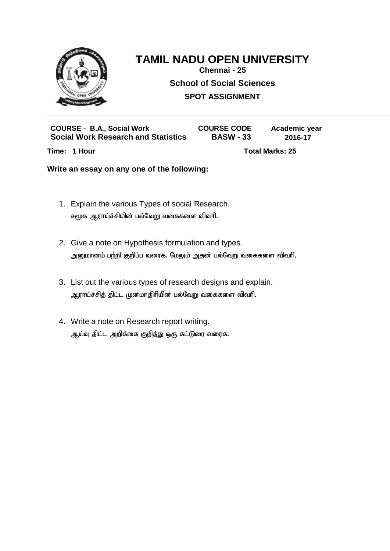

### **TAMIL NADU OPEN UNIVERSITY**

**Chennai - 25**

**School of Social Sciences**

**SPOT ASSIGNMENT**

| <b>COURSE - B.A., Social Work</b>          | <b>COURSE CODE</b> | Academic year |  |
|--------------------------------------------|--------------------|---------------|--|
| <b>Social Work Research and Statistics</b> | <b>BASW - 33</b>   | 2016-17       |  |

**Time: 1 Hour Total Marks: 25** 

- 1. Explain the various Types of social Research. சமூக ஆராய்ச்சியின் பல்வேறு வகைகளை விவரி.
- 2. Give a note on Hypothesis formulation and types. அனுமானம் பற்றி குறிப்ப வரைக. மேலும் அதன் பல்வேறு வகைகளை விவரி.
- 3. List out the various types of research designs and explain. ஆராய்ச்சித் திட்ட முன்மாதிரியின் பல்வேறு வகைகளை விவரி.
- 4. Write a note on Research report writing. ஆய்வு திட்ட அறிக்கை குறித்து ஒரு கட்டுரை வரைக.